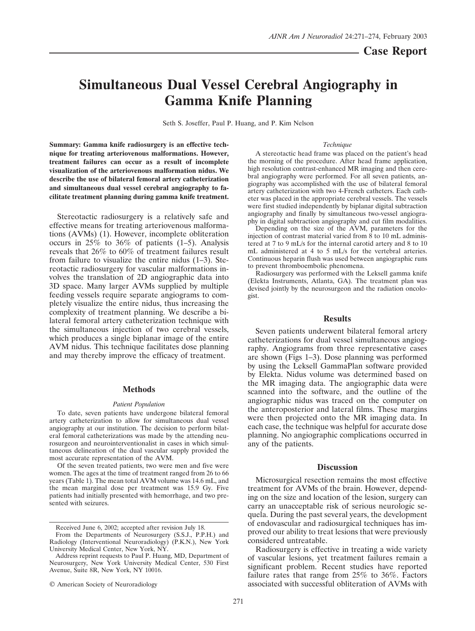# **Simultaneous Dual Vessel Cerebral Angiography in Gamma Knife Planning**

Seth S. Joseffer, Paul P. Huang, and P. Kim Nelson

**Summary: Gamma knife radiosurgery is an effective technique for treating arteriovenous malformations. However, treatment failures can occur as a result of incomplete visualization of the arteriovenous malformation nidus. We describe the use of bilateral femoral artery catheterization and simultaneous dual vessel cerebral angiography to facilitate treatment planning during gamma knife treatment.**

Stereotactic radiosurgery is a relatively safe and effective means for treating arteriovenous malformations (AVMs) (1). However, incomplete obliteration occurs in 25% to 36% of patients (1–5). Analysis reveals that 26% to 60% of treatment failures result from failure to visualize the entire nidus (1–3). Stereotactic radiosurgery for vascular malformations involves the translation of 2D angiographic data into 3D space. Many larger AVMs supplied by multiple feeding vessels require separate angiograms to completely visualize the entire nidus, thus increasing the complexity of treatment planning. We describe a bilateral femoral artery catheterization technique with the simultaneous injection of two cerebral vessels, which produces a single biplanar image of the entire AVM nidus. This technique facilitates dose planning and may thereby improve the efficacy of treatment.

## **Methods**

## *Patient Population*

To date, seven patients have undergone bilateral femoral artery catheterization to allow for simultaneous dual vessel angiography at our institution. The decision to perform bilateral femoral catheterizations was made by the attending neurosurgeon and neurointerventionalist in cases in which simultaneous delineation of the dual vascular supply provided the most accurate representation of the AVM.

Of the seven treated patients, two were men and five were women. The ages at the time of treatment ranged from 26 to 66 years (Table 1). The mean total AVM volume was 14.6 mL, and the mean marginal dose per treatment was 15.9 Gy. Five patients had initially presented with hemorrhage, and two presented with seizures.

#### *Technique*

A stereotactic head frame was placed on the patient's head the morning of the procedure. After head frame application, high resolution contrast-enhanced MR imaging and then cerebral angiography were performed. For all seven patients, angiography was accomplished with the use of bilateral femoral artery catheterization with two 4-French catheters. Each catheter was placed in the appropriate cerebral vessels. The vessels were first studied independently by biplanar digital subtraction angiography and finally by simultaneous two-vessel angiography in digital subtraction angiography and cut film modalities.

Depending on the size of the AVM, parameters for the injection of contrast material varied from  $\hat{8}$  to 10 mL administered at 7 to 9 mL/s for the internal carotid artery and 8 to 10 mL administered at 4 to 5 mL/s for the vertebral arteries. Continuous heparin flush was used between angiographic runs to prevent thromboembolic phenomena.

Radiosurgery was performed with the Leksell gamma knife (Elekta Instruments, Atlanta, GA). The treatment plan was devised jointly by the neurosurgeon and the radiation oncologist.

## **Results**

Seven patients underwent bilateral femoral artery catheterizations for dual vessel simultaneous angiography. Angiograms from three representative cases are shown (Figs 1–3). Dose planning was performed by using the Leksell GammaPlan software provided by Elekta. Nidus volume was determined based on the MR imaging data. The angiographic data were scanned into the software, and the outline of the angiographic nidus was traced on the computer on the anteroposterior and lateral films. These margins were then projected onto the MR imaging data. In each case, the technique was helpful for accurate dose planning. No angiographic complications occurred in any of the patients.

## **Discussion**

Microsurgical resection remains the most effective treatment for AVMs of the brain. However, depending on the size and location of the lesion, surgery can carry an unacceptable risk of serious neurologic sequela. During the past several years, the development of endovascular and radiosurgical techniques has improved our ability to treat lesions that were previously considered untreatable.

Radiosurgery is effective in treating a wide variety of vascular lesions, yet treatment failures remain a significant problem. Recent studies have reported failure rates that range from 25% to 36%. Factors associated with successful obliteration of AVMs with

Received June 6, 2002; accepted after revision July 18.

From the Departments of Neurosurgery (S.S.J., P.P.H.) and Radiology (Interventional Neuroradiology) (P.K.N.), New York University Medical Center, New York, NY.

Address reprint requests to Paul P. Huang, MD, Department of Neurosurgery, New York University Medical Center, 530 First Avenue, Suite 8R, New York, NY 10016.

<sup>©</sup> American Society of Neuroradiology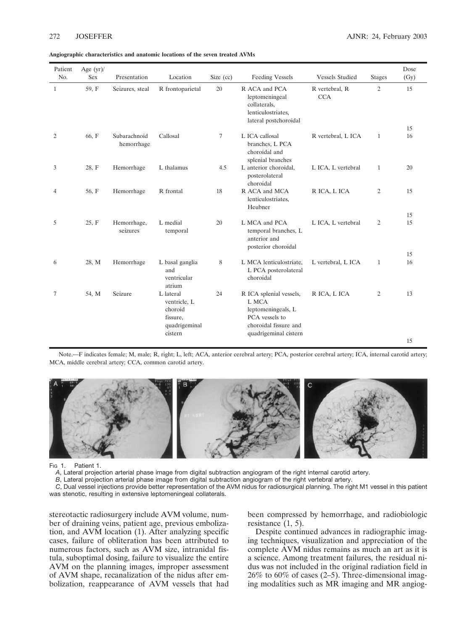|  | Angiographic characteristics and anatomic locations of the seven treated AVMs |  |  |  |  |  |  |  |  |  |  |
|--|-------------------------------------------------------------------------------|--|--|--|--|--|--|--|--|--|--|
|--|-------------------------------------------------------------------------------|--|--|--|--|--|--|--|--|--|--|

| Patient<br>No. | Age $(yr)$ /<br>Sex | Presentation               | Location                                                                     | Size $(cc)$ | <b>Feeding Vessels</b>                                                                                                     | <b>Vessels Studied</b>       | <b>Stages</b>  | Dose<br>(Gy) |
|----------------|---------------------|----------------------------|------------------------------------------------------------------------------|-------------|----------------------------------------------------------------------------------------------------------------------------|------------------------------|----------------|--------------|
| 1              | 59, F               | Seizures, steal            | R frontoparietal                                                             | 20          | R ACA and PCA<br>leptomeningeal<br>collaterals,<br>lenticulostriates,<br>lateral postchoroidal                             | R vertebral, R<br><b>CCA</b> | $\overline{2}$ | 15           |
|                |                     |                            |                                                                              |             |                                                                                                                            |                              |                | 15           |
| 2              | 66, F               | Subarachnoid<br>hemorrhage | Callosal                                                                     | $\tau$      | L ICA callosal<br>branches, L PCA<br>choroidal and<br>splenial branches                                                    | R vertebral, L ICA           | $\mathbf{1}$   | 16           |
| 3              | 28, F               | Hemorrhage                 | L thalamus                                                                   | 4.5         | L anterior choroidal,<br>posterolateral<br>choroidal                                                                       | L ICA, L vertebral           | $\mathbf{1}$   | 20           |
| 4              | 56, F               | Hemorrhage                 | R frontal                                                                    | 18          | R ACA and MCA<br>lenticulostriates,<br>Heubner                                                                             | R ICA, L ICA                 | 2              | 15           |
|                |                     |                            |                                                                              |             |                                                                                                                            |                              |                | 15           |
| 5              | 25, F               | Hemorrhage,<br>seizures    | L medial<br>temporal                                                         | 20          | L MCA and PCA<br>temporal branches, L<br>anterior and<br>posterior choroidal                                               | L ICA, L vertebral           | 2              | 15           |
|                |                     |                            |                                                                              |             |                                                                                                                            |                              |                | 15           |
| 6              | 28, M               | Hemorrhage                 | L basal ganglia<br>and<br>ventricular<br>atrium                              | 8           | L MCA lenticulostriate,<br>L PCA posterolateral<br>choroidal                                                               | L vertebral, L ICA           | $\mathbf{1}$   | 16           |
| 7              | 54, M               | Seizure                    | L lateral<br>ventricle, L<br>choroid<br>fissure,<br>quadrigeminal<br>cistern | 24          | R ICA splenial vessels,<br>L MCA<br>leptomeningeals, L<br>PCA vessels to<br>choroidal fissure and<br>quadrigeminal cistern | R ICA, L ICA                 | $\overline{c}$ | 13<br>15     |

Note.—F indicates female; M, male; R, right; L, left; ACA, anterior cerebral artery; PCA, posterior cerebral artery; ICA, internal carotid artery; MCA, middle cerebral artery; CCA, common carotid artery.



Fig. 1. Patient 1.

*A*, Lateral projection arterial phase image from digital subtraction angiogram of the right internal carotid artery.

*B*, Lateral projection arterial phase image from digital subtraction angiogram of the right vertebral artery.

*C*, Dual vessel injections provide better representation of the AVM nidus for radiosurgical planning. The right M1 vessel in this patient was stenotic, resulting in extensive leptomeningeal collaterals.

stereotactic radiosurgery include AVM volume, number of draining veins, patient age, previous embolization, and AVM location (1). After analyzing specific cases, failure of obliteration has been attributed to numerous factors, such as AVM size, intranidal fistula, suboptimal dosing, failure to visualize the entire AVM on the planning images, improper assessment of AVM shape, recanalization of the nidus after embolization, reappearance of AVM vessels that had been compressed by hemorrhage, and radiobiologic resistance (1, 5).

Despite continued advances in radiographic imaging techniques, visualization and appreciation of the complete AVM nidus remains as much an art as it is a science. Among treatment failures, the residual nidus was not included in the original radiation field in 26% to 60% of cases (2–5). Three-dimensional imaging modalities such as MR imaging and MR angiog-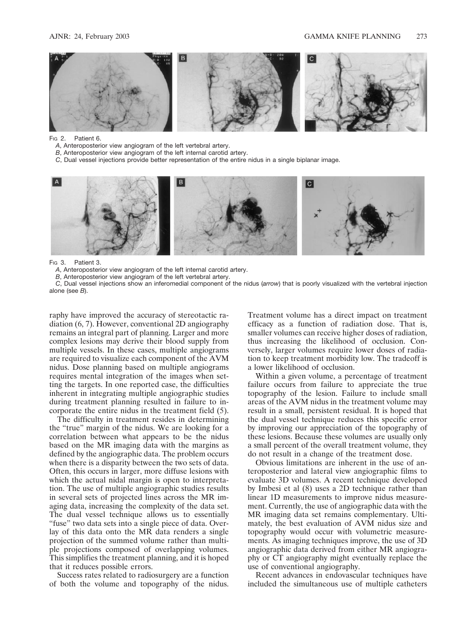

FIG 2. Patient 6.

- *A*, Anteroposterior view angiogram of the left vertebral artery.
- *B*, Anteroposterior view angiogram of the left internal carotid artery.
- *C*, Dual vessel injections provide better representation of the entire nidus in a single biplanar image.



FIG 3. Patient 3.

*A*, Anteroposterior view angiogram of the left internal carotid artery.

*B*, Anteroposterior view angiogram of the left vertebral artery.

*C*, Dual vessel injections show an inferomedial component of the nidus (*arrow*) that is poorly visualized with the vertebral injection alone (see *B*).

raphy have improved the accuracy of stereotactic radiation (6, 7). However, conventional 2D angiography remains an integral part of planning. Larger and more complex lesions may derive their blood supply from multiple vessels. In these cases, multiple angiograms are required to visualize each component of the AVM nidus. Dose planning based on multiple angiograms requires mental integration of the images when setting the targets. In one reported case, the difficulties inherent in integrating multiple angiographic studies during treatment planning resulted in failure to incorporate the entire nidus in the treatment field (5).

The difficulty in treatment resides in determining the "true" margin of the nidus. We are looking for a correlation between what appears to be the nidus based on the MR imaging data with the margins as defined by the angiographic data. The problem occurs when there is a disparity between the two sets of data. Often, this occurs in larger, more diffuse lesions with which the actual nidal margin is open to interpretation. The use of multiple angiographic studies results in several sets of projected lines across the MR imaging data, increasing the complexity of the data set. The dual vessel technique allows us to essentially "fuse" two data sets into a single piece of data. Overlay of this data onto the MR data renders a single projection of the summed volume rather than multiple projections composed of overlapping volumes. This simplifies the treatment planning, and it is hoped that it reduces possible errors.

Success rates related to radiosurgery are a function of both the volume and topography of the nidus.

Treatment volume has a direct impact on treatment efficacy as a function of radiation dose. That is, smaller volumes can receive higher doses of radiation, thus increasing the likelihood of occlusion. Conversely, larger volumes require lower doses of radiation to keep treatment morbidity low. The tradeoff is a lower likelihood of occlusion.

Within a given volume, a percentage of treatment failure occurs from failure to appreciate the true topography of the lesion. Failure to include small areas of the AVM nidus in the treatment volume may result in a small, persistent residual. It is hoped that the dual vessel technique reduces this specific error by improving our appreciation of the topography of these lesions. Because these volumes are usually only a small percent of the overall treatment volume, they do not result in a change of the treatment dose.

Obvious limitations are inherent in the use of anteroposterior and lateral view angiographic films to evaluate 3D volumes. A recent technique developed by Imbesi et al (8) uses a 2D technique rather than linear 1D measurements to improve nidus measurement. Currently, the use of angiographic data with the MR imaging data set remains complementary. Ultimately, the best evaluation of AVM nidus size and topography would occur with volumetric measurements. As imaging techniques improve, the use of 3D angiographic data derived from either MR angiography or CT angiography might eventually replace the use of conventional angiography.

Recent advances in endovascular techniques have included the simultaneous use of multiple catheters